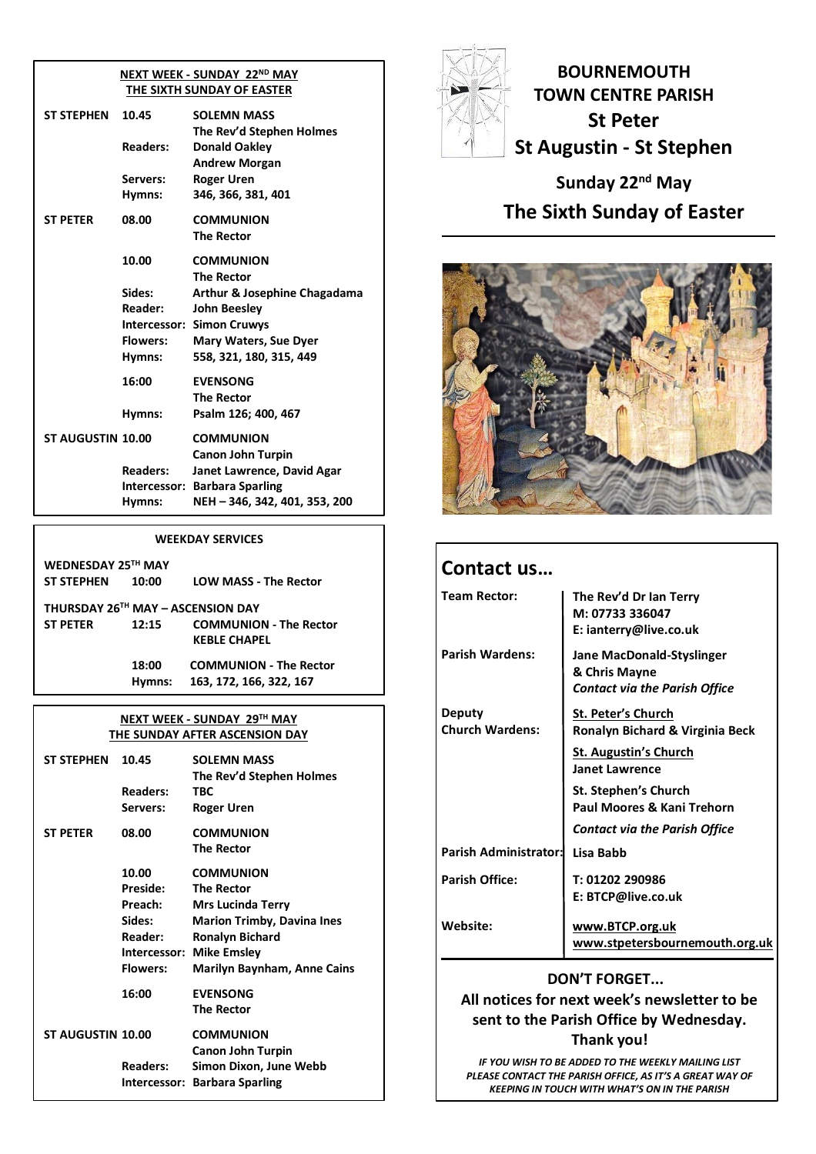#### **NEXT WEEK - SUNDAY 22ND MAY THE SIXTH SUNDAY OF EASTER**

| ST STEPHEN               | 10.45           | <b>SOLEMN MASS</b><br>The Rev'd Stephen Holmes |
|--------------------------|-----------------|------------------------------------------------|
|                          | <b>Readers:</b> | <b>Donald Oakley</b><br><b>Andrew Morgan</b>   |
|                          | Servers:        | <b>Roger Uren</b>                              |
|                          | Hymns:          | 346, 366, 381, 401                             |
| <b>ST PETER</b>          | 08.00           | <b>COMMUNION</b>                               |
|                          |                 | <b>The Rector</b>                              |
|                          | 10.00           | <b>COMMUNION</b>                               |
|                          |                 | <b>The Rector</b>                              |
|                          | Sides:          | Arthur & Josephine Chagadama                   |
|                          | Reader:         | <b>John Beesley</b>                            |
|                          |                 | <b>Intercessor: Simon Cruwys</b>               |
|                          | <b>Flowers:</b> | <b>Mary Waters, Sue Dyer</b>                   |
|                          | Hymns:          | 558, 321, 180, 315, 449                        |
|                          | 16:00           | <b>EVENSONG</b>                                |
|                          |                 | <b>The Rector</b>                              |
|                          | Hymns:          | Psalm 126; 400, 467                            |
| <b>ST AUGUSTIN 10.00</b> |                 | <b>COMMUNION</b>                               |
|                          |                 | <b>Canon John Turpin</b>                       |
|                          | <b>Readers:</b> | Janet Lawrence, David Agar                     |
|                          | Intercessor:    | <b>Barbara Sparling</b>                        |
|                          | Hymns:          | NEH - 346, 342, 401, 353, 200                  |

#### **WEEKDAY SERVICES**

| WEDNESDAY 25TH MAY<br><b>ST STEPHEN</b>              | 10:00           | <b>LOW MASS - The Rector</b>                             |
|------------------------------------------------------|-----------------|----------------------------------------------------------|
| THURSDAY 26TH MAY - ASCENSION DAY<br><b>ST PETER</b> | 12:15           | <b>COMMUNION - The Rector</b><br><b>KEBLE CHAPEL</b>     |
|                                                      | 18:00<br>Hymns: | <b>COMMUNION - The Rector</b><br>163, 172, 166, 322, 167 |

#### **NEXT WEEK - SUNDAY 29 TH MAY THE SUNDAY AFTER ASCENSION DAY**

| <b>ST STEPHEN</b>        | 10.45<br><b>Readers:</b><br>Servers:                                                        | <b>SOLEMN MASS</b><br>The Rev'd Stephen Holmes<br>TBC<br>Roger Uren                                                                                                                          |
|--------------------------|---------------------------------------------------------------------------------------------|----------------------------------------------------------------------------------------------------------------------------------------------------------------------------------------------|
| <b>ST PETER</b>          | 08.00                                                                                       | <b>COMMUNION</b><br><b>The Rector</b>                                                                                                                                                        |
|                          | 10.00<br><b>Preside:</b><br>Preach:<br>Sides:<br>Reader:<br>Intercessor:<br><b>Flowers:</b> | <b>COMMUNION</b><br><b>The Rector</b><br><b>Mrs Lucinda Terry</b><br><b>Marion Trimby, Davina Ines</b><br><b>Ronalyn Bichard</b><br><b>Mike Emsley</b><br><b>Marilyn Baynham, Anne Cains</b> |
|                          | 16:00                                                                                       | <b>EVENSONG</b><br>The Rector                                                                                                                                                                |
| <b>ST AUGUSTIN 10.00</b> |                                                                                             | <b>COMMUNION</b><br><b>Canon John Turpin</b>                                                                                                                                                 |
|                          | <b>Readers:</b><br>Intercessor:                                                             | Simon Dixon, June Webb<br><b>Barbara Sparling</b>                                                                                                                                            |



**BOURNEMOUTH TOWN CENTRE PARISH St Peter St Augustin - St Stephen**

**Sunday 22nd May The Sixth Sunday of Easter**



| Contact us                       |                                                                                    |
|----------------------------------|------------------------------------------------------------------------------------|
| <b>Team Rector:</b>              | The Rev'd Dr Ian Terry<br>M: 07733 336047<br>E: ianterry@live.co.uk                |
| <b>Parish Wardens:</b>           | Jane MacDonald-Styslinger<br>& Chris Mayne<br><b>Contact via the Parish Office</b> |
| Deputy<br><b>Church Wardens:</b> | St. Peter's Church<br>Ronalyn Bichard & Virginia Beck                              |
|                                  | <b>St. Augustin's Church</b><br><b>Janet Lawrence</b>                              |
|                                  | St. Stephen's Church<br>Paul Moores & Kani Trehorn                                 |
|                                  | <b>Contact via the Parish Office</b>                                               |
| Parish Administrator:            | Lisa Babb                                                                          |
| <b>Parish Office:</b>            | T: 01202 290986<br>E: BTCP@live.co.uk                                              |
| Website:                         | www.BTCP.org.uk<br>www.stpetersbournemouth.org.uk                                  |

# **DON'T FORGET...**

**All notices for next week's newsletter to be sent to the Parish Office by Wednesday. Thank you!**

*IF YOU WISH TO BE ADDED TO THE WEEKLY MAILING LIST PLEASE CONTACT THE PARISH OFFICE, AS IT'S A GREAT WAY OF KEEPING IN TOUCH WITH WHAT'S ON IN THE PARISH*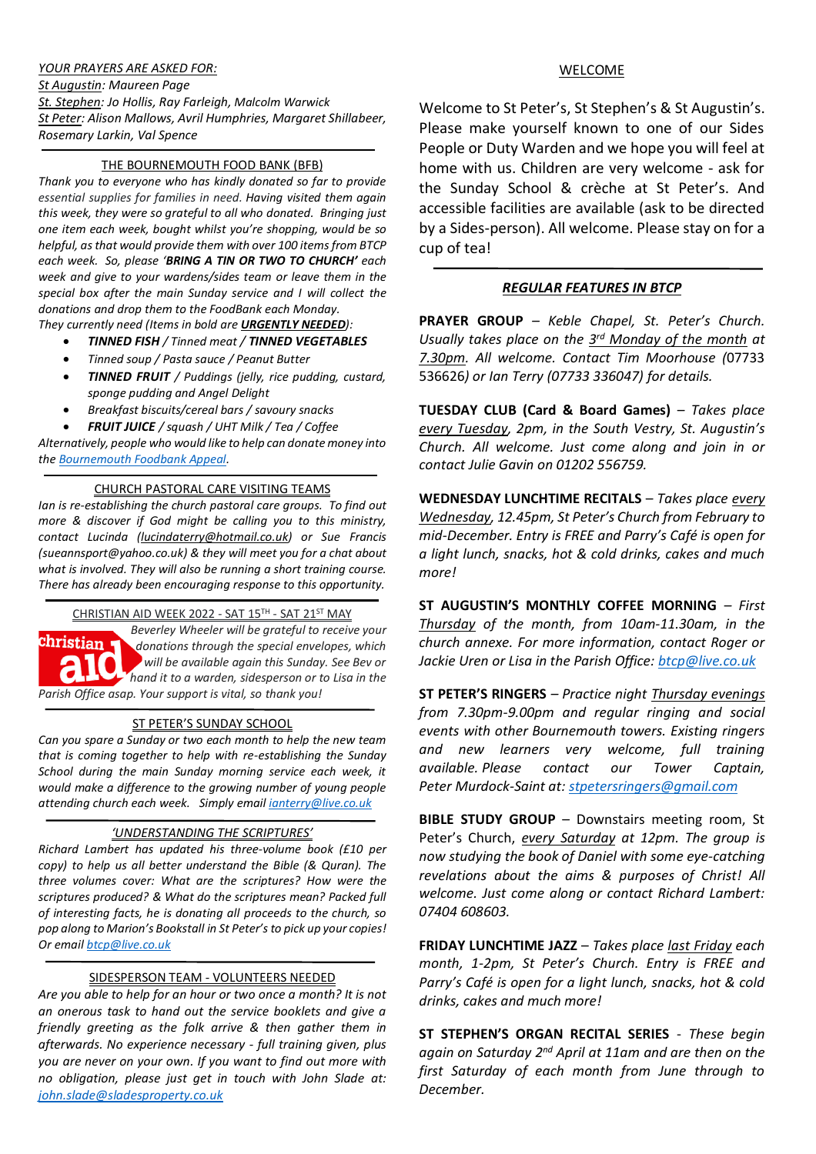## *YOUR PRAYERS ARE ASKED FOR:*

*St Augustin: Maureen Page St. Stephen: Jo Hollis, Ray Farleigh, Malcolm Warwick St Peter: Alison Mallows, Avril Humphries, Margaret Shillabeer, Rosemary Larkin, Val Spence*

## THE BOURNEMOUTH FOOD BANK (BFB)

*Thank you to everyone who has kindly donated so far to provide essential supplies for families in need. Having visited them again this week, they were so grateful to all who donated. Bringing just one item each week, bought whilst you're shopping, would be so helpful, as that would provide them with over 100 items from BTCP each week. So, please 'BRING A TIN OR TWO TO CHURCH' each week and give to your wardens/sides team or leave them in the special box after the main Sunday service and I will collect the donations and drop them to the FoodBank each Monday.*

*They currently need (Items in bold are URGENTLY NEEDED):*

- *TINNED FISH / Tinned meat / TINNED VEGETABLES*
- *Tinned soup / Pasta sauce / Peanut Butter*
- *TINNED FRUIT / Puddings (jelly, rice pudding, custard, sponge pudding and Angel Delight*
- *Breakfast biscuits/cereal bars / savoury snacks*
- *FRUIT JUICE / squash / UHT Milk / Tea / Coffee*

*Alternatively, people who would like to help can donate money into the [Bournemouth Foodbank Appeal.](https://nam12.safelinks.protection.outlook.com/?url=https%3A%2F%2Fwww.crowdfunder.co.uk%2Fp%2Fbournemouth-foodbank-2022&data=04%7C01%7C%7C212885be1b334a861b9608da0c100908%7C84df9e7fe9f640afb435aaaaaaaaaaaa%7C1%7C0%7C637835560261523418%7CUnknown%7CTWFpbGZsb3d8eyJWIjoiMC4wLjAwMDAiLCJQIjoiV2luMzIiLCJBTiI6Ik1haWwiLCJXVCI6Mn0%3D%7C3000&sdata=0kwllR%2FVKpXiq23Zee%2BQMNvELUcjJoK8%2B%2Be%2BVn%2Fn9gQ%3D&reserved=0)*

## CHURCH PASTORAL CARE VISITING TEAMS

*Ian is re-establishing the church pastoral care groups. To find out more & discover if God might be calling you to this ministry, contact Lucinda [\(lucindaterry@hotmail.co.uk\)](mailto:lucindaterry@hotmail.co.uk) or Sue Francis (sueannsport@yahoo.co.uk) & they will meet you for a chat about what is involved. They will also be running a short training course. There has already been encouraging response to this opportunity.*

CHRISTIAN AID WEEK 2022 - SAT 15TH - SAT 21ST MAY



*Beverley Wheeler will be grateful to receive your donations through the special envelopes, which will be available again this Sunday. See Bev or hand it to a warden, sidesperson or to Lisa in the Parish Office asap. Your support is vital, so thank you!*

### ST PETER'S SUNDAY SCHOOL

*Can you spare a Sunday or two each month to help the new team that is coming together to help with re-establishing the Sunday School during the main Sunday morning service each week, it would make a difference to the growing number of young people attending church each week. Simply email [ianterry@live.co.uk](mailto:ianterry@live.co.uk)*

### *'UNDERSTANDING THE SCRIPTURES'*

*Richard Lambert has updated his three-volume book (£10 per copy) to help us all better understand the Bible (& Quran). The three volumes cover: What are the scriptures? How were the scriptures produced? & What do the scriptures mean? Packed full of interesting facts, he is donating all proceeds to the church, so pop along to Marion's Bookstall in St Peter's to pick up your copies! Or emai[l btcp@live.co.uk](mailto:btcp@live.co.uk)*

### SIDESPERSON TEAM - VOLUNTEERS NEEDED

*Are you able to help for an hour or two once a month? It is not an onerous task to hand out the service booklets and give a friendly greeting as the folk arrive & then gather them in afterwards. No experience necessary - full training given, plus you are never on your own. If you want to find out more with no obligation, please just get in touch with John Slade at: [john.slade@sladesproperty.co.uk](mailto:john.slade@sladesproperty.co.uk)*

## WELCOME

Welcome to St Peter's, St Stephen's & St Augustin's. Please make yourself known to one of our Sides People or Duty Warden and we hope you will feel at home with us. Children are very welcome - ask for the Sunday School & crèche at St Peter's. And accessible facilities are available (ask to be directed by a Sides-person). All welcome. Please stay on for a cup of tea!

## *REGULAR FEATURES IN BTCP*

**PRAYER GROUP** *– Keble Chapel, St. Peter's Church.*  Usually takes place on the 3<sup>rd</sup> Monday of the month at *7.30pm. All welcome. Contact Tim Moorhouse (*07733 536626*) or Ian Terry (07733 336047) for details.*

**TUESDAY CLUB (Card & Board Games)** – *Takes place every Tuesday, 2pm, in the South Vestry, St. Augustin's Church. All welcome. Just come along and join in or contact Julie Gavin on 01202 556759.*

**WEDNESDAY LUNCHTIME RECITALS** – *Takes place every Wednesday, 12.45pm, St Peter's Church from February to mid-December. Entry is FREE and Parry's Café is open for a light lunch, snacks, hot & cold drinks, cakes and much more!*

**ST AUGUSTIN'S MONTHLY COFFEE MORNING** *– First Thursday of the month, from 10am-11.30am, in the church annexe. For more information, contact Roger or Jackie Uren or Lisa in the Parish Office[: btcp@live.co.uk](mailto:btcp@live.co.uk)*

**ST PETER'S RINGERS** *– Practice night Thursday evenings from 7.30pm-9.00pm and regular ringing and social events with other Bournemouth towers. Existing ringers and new learners very welcome, full training available. Please contact our Tower Captain, Peter Murdock-Saint at: [stpetersringers@gmail.com](mailto:stpetersringers@gmail.com)*

**BIBLE STUDY GROUP** – Downstairs meeting room, St Peter's Church, *every Saturday at 12pm. The group is now studying the book of Daniel with some eye-catching revelations about the aims & purposes of Christ! All welcome. Just come along or contact Richard Lambert: 07404 608603.*

**FRIDAY LUNCHTIME JAZZ** – *Takes place last Friday each month, 1-2pm, St Peter's Church. Entry is FREE and Parry's Café is open for a light lunch, snacks, hot & cold drinks, cakes and much more!*

**ST STEPHEN'S ORGAN RECITAL SERIES** - *These begin again on Saturday 2nd April at 11am and are then on the first Saturday of each month from June through to December.*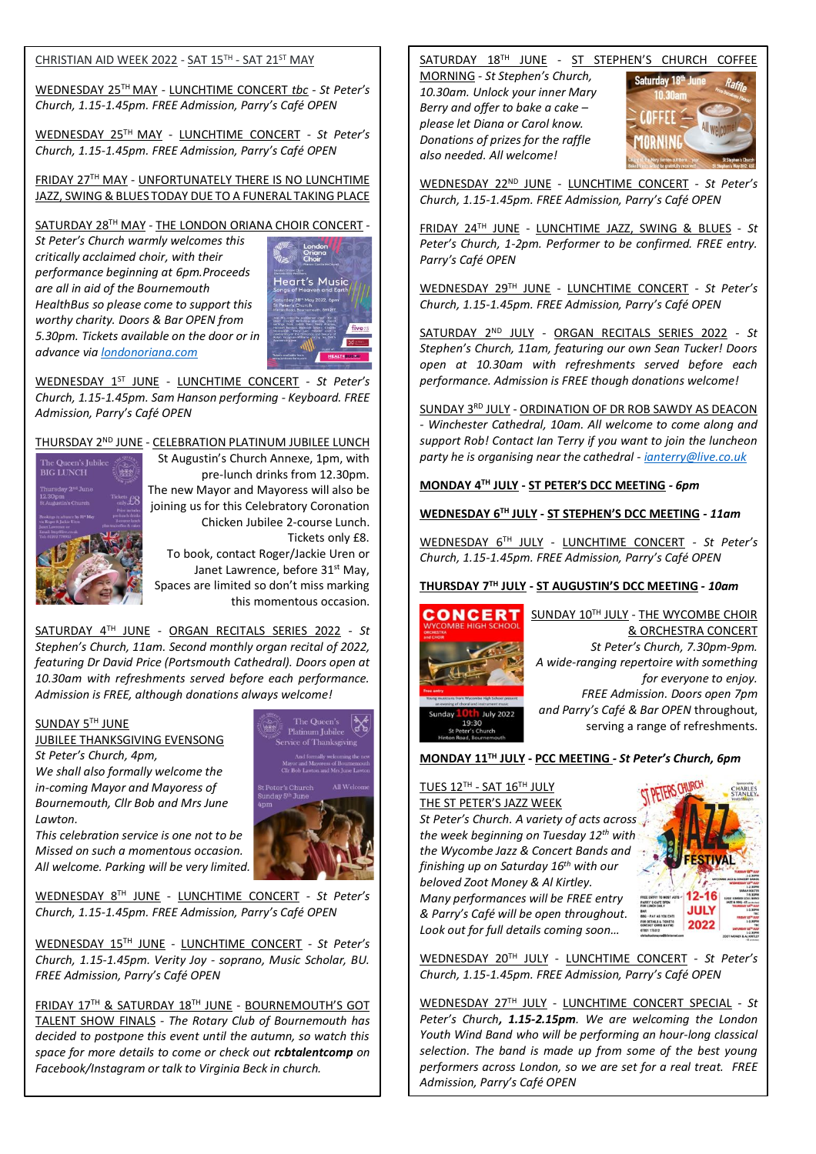#### CHRISTIAN AID WEEK 2022 - SAT 15TH - SAT 21ST MAY

WEDNESDAY 25TH MAY - LUNCHTIME CONCERT *tbc - St Peter's Church, 1.15-1.45pm. FREE Admission, Parry's Café OPEN*

WEDNESDAY 25TH MAY - LUNCHTIME CONCERT *- St Peter's Church, 1.15-1.45pm. FREE Admission, Parry's Café OPEN*

FRIDAY 27TH MAY - UNFORTUNATELY THERE IS NO LUNCHTIME JAZZ, SWING & BLUES TODAY DUE TO A FUNERAL TAKING PLACE

# SATURDAY 28 TH MAY - THE LONDON ORIANA CHOIR CONCERT *-*

*St Peter's Church warmly welcomes this critically acclaimed choir, with their performance beginning at 6pm.Proceeds are all in aid of the Bournemouth HealthBus so please come to support this worthy charity. Doors & Bar OPEN from 5.30pm. Tickets available on the door or in advance vi[a londonoriana.com](http://londonoriana.com/)*



WEDNESDAY 1ST JUNE - LUNCHTIME CONCERT *- St Peter's Church, 1.15-1.45pm. Sam Hanson performing - Keyboard. FREE Admission, Parry's Café OPEN*

# THURSDAY 2ND JUNE - CELEBRATION PLATINUM JUBILEE LUNCH



St Augustin's Church Annexe, 1pm, with pre-lunch drinks from 12.30pm. The new Mayor and Mayoress will also be joining us for this Celebratory Coronation Chicken Jubilee 2-course Lunch. Tickets only £8.

To book, contact Roger/Jackie Uren or Janet Lawrence, before 31<sup>st</sup> May, Spaces are limited so don't miss marking this momentous occasion.

SATURDAY 4TH JUNE - ORGAN RECITALS SERIES 2022 - *St Stephen's Church, 11am. Second monthly organ recital of 2022, featuring Dr David Price (Portsmouth Cathedral). Doors open at 10.30am with refreshments served before each performance. Admission is FREE, although donations always welcome!*

## SUNDAY 5TH JUNE

JUBILEE THANKSGIVING EVENSONG

*St Peter's Church, 4pm, We shall also formally welcome the in-coming Mayor and Mayoress of Bournemouth, Cllr Bob and Mrs June Lawton.* 



*This celebration service is one not to be Missed on such a momentous occasion. All welcome. Parking will be very limited.*

WEDNESDAY 8TH JUNE - LUNCHTIME CONCERT *- St Peter's Church, 1.15-1.45pm. FREE Admission, Parry's Café OPEN*

WEDNESDAY 15TH JUNE - LUNCHTIME CONCERT *- St Peter's Church, 1.15-1.45pm. Verity Joy - soprano, Music Scholar, BU. FREE Admission, Parry's Café OPEN*

FRIDAY 17TH & SATURDAY 18TH JUNE - BOURNEMOUTH'S GOT TALENT SHOW FINALS *- The Rotary Club of Bournemouth has decided to postpone this event until the autumn, so watch this space for more details to come or check out rcbtalentcomp on Facebook/Instagram or talk to Virginia Beck in church.* 

## SATURDAY 18TH JUNE - ST STEPHEN'S CHURCH COFFEE

MORNING *- St Stephen's Church, 10.30am. Unlock your inner Mary Berry and offer to bake a cake – please let Diana or Carol know. Donations of prizes for the raffle also needed. All welcome!*



WEDNESDAY 22ND JUNE - LUNCHTIME CONCERT *- St Peter's Church, 1.15-1.45pm. FREE Admission, Parry's Café OPEN*

FRIDAY 24TH JUNE - LUNCHTIME JAZZ, SWING & BLUES - *St Peter's Church, 1-2pm. Performer to be confirmed. FREE entry. Parry's Café OPEN*

WEDNESDAY 29TH JUNE - LUNCHTIME CONCERT *- St Peter's Church, 1.15-1.45pm. FREE Admission, Parry's Café OPEN*

SATURDAY 2ND JULY - ORGAN RECITALS SERIES 2022 *- St Stephen's Church, 11am, featuring our own Sean Tucker! Doors open at 10.30am with refreshments served before each performance. Admission is FREE though donations welcome!*

SUNDAY 3<sup>RD</sup> JULY - ORDINATION OF DR ROB SAWDY AS DEACON *- Winchester Cathedral, 10am. All welcome to come along and support Rob! Contact Ian Terry if you want to join the luncheon party he is organising near the cathedral - [ianterry@live.co.uk](mailto:ianterry@live.co.uk)*

### **MONDAY 4TH JULY - ST PETER'S DCC MEETING** *- 6pm*

## **WEDNESDAY 6TH JULY - ST STEPHEN'S DCC MEETING** *- 11am*

WEDNESDAY 6TH JULY - LUNCHTIME CONCERT *- St Peter's Church, 1.15-1.45pm. FREE Admission, Parry's Café OPEN*

### **THURSDAY 7TH JULY - ST AUGUSTIN'S DCC MEETING** *- 10am*



SUNDAY 10TH JULY - THE WYCOMBE CHOIR & ORCHESTRA CONCERT *St Peter's Church, 7.30pm-9pm. A wide-ranging repertoire with something for everyone to enjoy. FREE Admission. Doors open 7pm and Parry's Café & Bar OPEN* throughout, serving a range of refreshments.

**MONDAY 11TH JULY - PCC MEETING** *- St Peter's Church, 6pm*

#### <u>TUES 12™ - SAT 16™ JULY</u> THE ST PETER'S JAZZ WEEK

**July 2022**  $19:30$ 

*St Peter's Church. A variety of acts across the week beginning on Tuesday 12th with the Wycombe Jazz & Concert Bands and finishing up on Saturday 16th with our beloved Zoot Money & Al Kirtley. Many performances will be FREE entry & Parry's Café will be open throughout. Look out for full details coming soon…*

WEDNESDAY 20TH JULY - LUNCHTIME CONCERT *- St Peter's Church, 1.15-1.45pm. FREE Admission, Parry's Café OPEN*

WEDNESDAY 27TH JULY - LUNCHTIME CONCERT SPECIAL *- St Peter's Church, 1.15-2.15pm. We are welcoming the London Youth Wind Band who will be performing an hour-long classical selection. The band is made up from some of the best young performers across London, so we are set for a real treat. FREE Admission, Parry's Café OPEN*

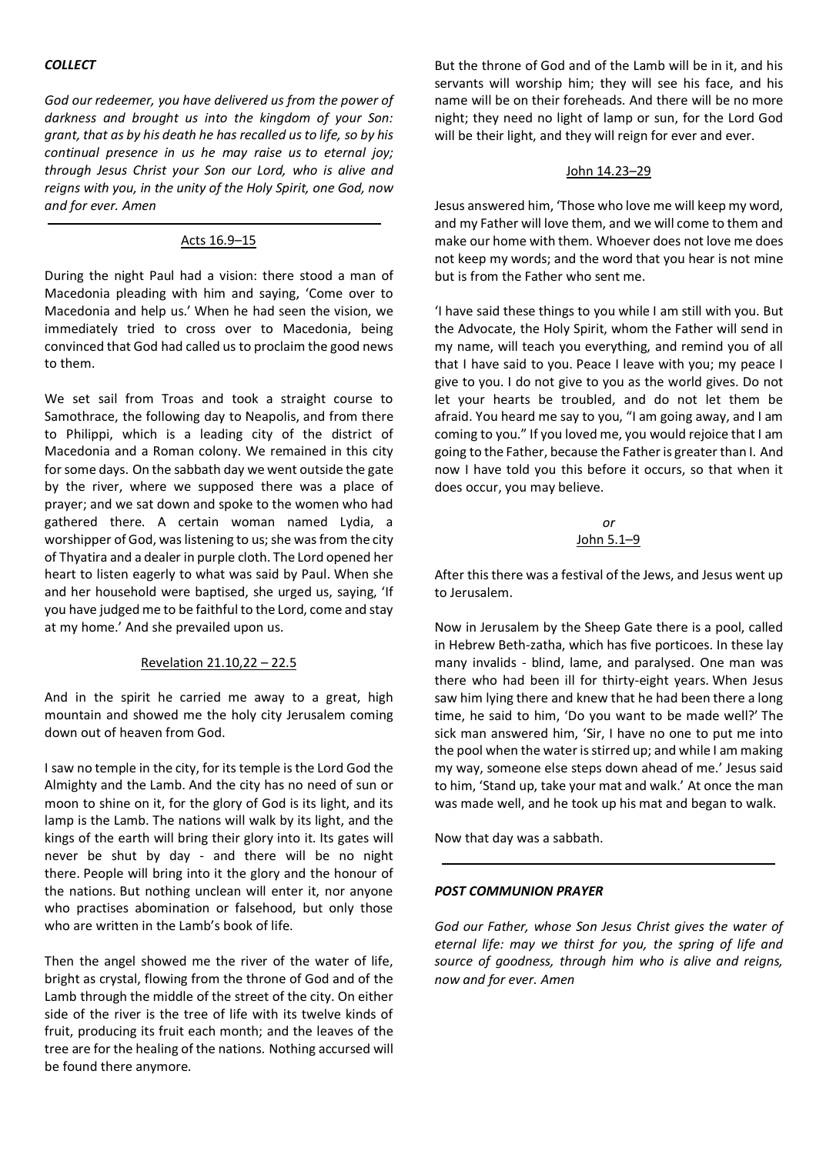## *COLLECT*

*God our redeemer, you have delivered us from the power of darkness and brought us into the kingdom of your Son: grant, that as by his death he has recalled us to life, so by his continual presence in us he may raise us to eternal joy; through Jesus Christ your Son our Lord, who is alive and reigns with you, in the unity of the Holy Spirit, one God, now and for ever. Amen*

## Acts 16.9–15

During the night Paul had a vision: there stood a man of Macedonia pleading with him and saying, 'Come over to Macedonia and help us.' When he had seen the vision, we immediately tried to cross over to Macedonia, being convinced that God had called us to proclaim the good news to them.

We set sail from Troas and took a straight course to Samothrace, the following day to Neapolis, and from there to Philippi, which is a leading city of the district of Macedonia and a Roman colony. We remained in this city for some days. On the sabbath day we went outside the gate by the river, where we supposed there was a place of prayer; and we sat down and spoke to the women who had gathered there. A certain woman named Lydia, a worshipper of God, was listening to us; she was from the city of Thyatira and a dealer in purple cloth. The Lord opened her heart to listen eagerly to what was said by Paul. When she and her household were baptised, she urged us, saying, 'If you have judged me to be faithful to the Lord, come and stay at my home.' And she prevailed upon us.

### Revelation 21.10,22 – 22.5

And in the spirit he carried me away to a great, high mountain and showed me the holy city Jerusalem coming down out of heaven from God.

I saw no temple in the city, for its temple is the Lord God the Almighty and the Lamb. And the city has no need of sun or moon to shine on it, for the glory of God is its light, and its lamp is the Lamb. The nations will walk by its light, and the kings of the earth will bring their glory into it. Its gates will never be shut by day - and there will be no night there. People will bring into it the glory and the honour of the nations. But nothing unclean will enter it, nor anyone who practises abomination or falsehood, but only those who are written in the Lamb's book of life.

Then the angel showed me the river of the water of life, bright as crystal, flowing from the throne of God and of the Lamb through the middle of the street of the city. On either side of the river is the tree of life with its twelve kinds of fruit, producing its fruit each month; and the leaves of the tree are for the healing of the nations. Nothing accursed will be found there anymore.

But the throne of God and of the Lamb will be in it, and his servants will worship him; they will see his face, and his name will be on their foreheads. And there will be no more night; they need no light of lamp or sun, for the Lord God will be their light, and they will reign for ever and ever.

### John 14.23–29

Jesus answered him, 'Those who love me will keep my word, and my Father will love them, and we will come to them and make our home with them. Whoever does not love me does not keep my words; and the word that you hear is not mine but is from the Father who sent me.

'I have said these things to you while I am still with you. But the Advocate, the Holy Spirit, whom the Father will send in my name, will teach you everything, and remind you of all that I have said to you. Peace I leave with you; my peace I give to you. I do not give to you as the world gives. Do not let your hearts be troubled, and do not let them be afraid. You heard me say to you, "I am going away, and I am coming to you." If you loved me, you would rejoice that I am going to the Father, because the Father is greater than I. And now I have told you this before it occurs, so that when it does occur, you may believe.

> *or* John 5.1–9

After this there was a festival of the Jews, and Jesus went up to Jerusalem.

Now in Jerusalem by the Sheep Gate there is a pool, called in Hebrew Beth-zatha, which has five porticoes. In these lay many invalids - blind, lame, and paralysed. One man was there who had been ill for thirty-eight years. When Jesus saw him lying there and knew that he had been there a long time, he said to him, 'Do you want to be made well?' The sick man answered him, 'Sir, I have no one to put me into the pool when the water is stirred up; and while I am making my way, someone else steps down ahead of me.' Jesus said to him, 'Stand up, take your mat and walk.' At once the man was made well, and he took up his mat and began to walk.

Now that day was a sabbath.

### *POST COMMUNION PRAYER*

*God our Father, whose Son Jesus Christ gives the water of eternal life: may we thirst for you, the spring of life and source of goodness, through him who is alive and reigns, now and for ever. Amen*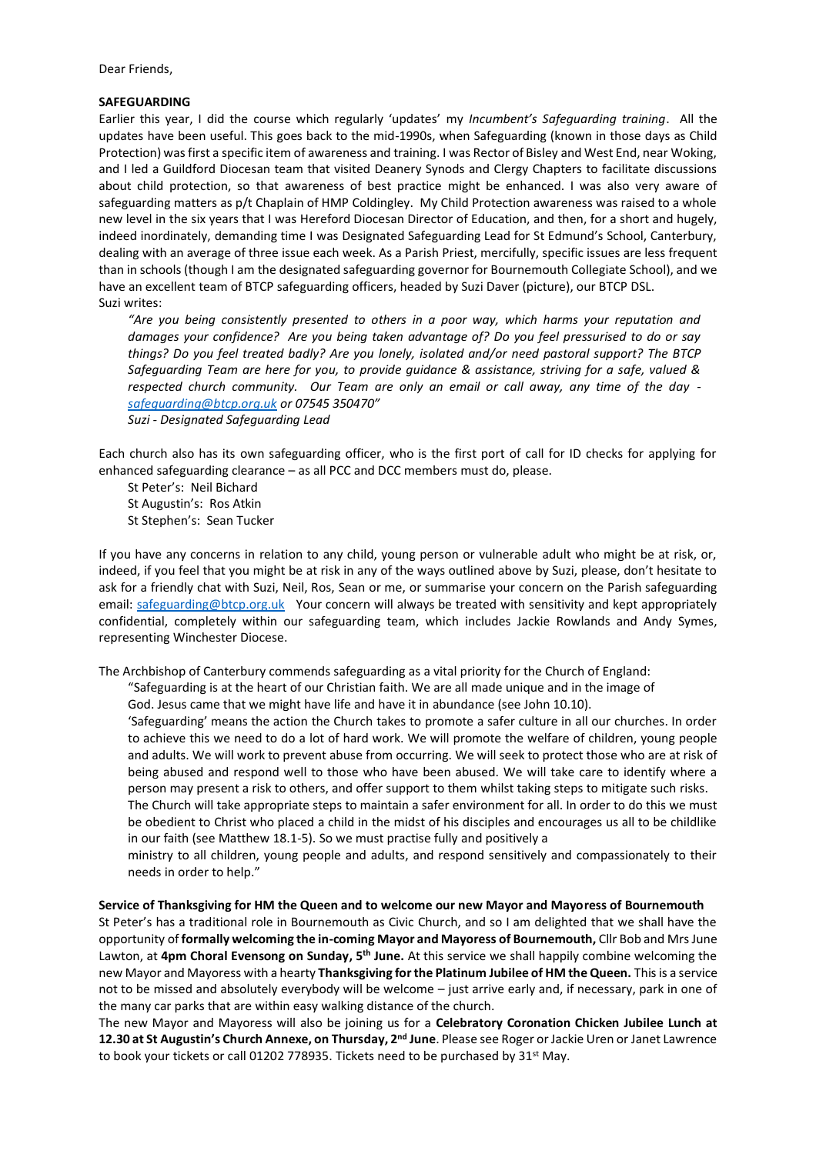Dear Friends,

#### **SAFEGUARDING**

Earlier this year, I did the course which regularly 'updates' my *Incumbent's Safeguarding training*. All the updates have been useful. This goes back to the mid-1990s, when Safeguarding (known in those days as Child Protection) was first a specific item of awareness and training. I was Rector of Bisley and West End, near Woking, and I led a Guildford Diocesan team that visited Deanery Synods and Clergy Chapters to facilitate discussions about child protection, so that awareness of best practice might be enhanced. I was also very aware of safeguarding matters as p/t Chaplain of HMP Coldingley. My Child Protection awareness was raised to a whole new level in the six years that I was Hereford Diocesan Director of Education, and then, for a short and hugely, indeed inordinately, demanding time I was Designated Safeguarding Lead for St Edmund's School, Canterbury, dealing with an average of three issue each week. As a Parish Priest, mercifully, specific issues are less frequent than in schools (though I am the designated safeguarding governor for Bournemouth Collegiate School), and we have an excellent team of BTCP safeguarding officers, headed by Suzi Daver (picture), our BTCP DSL. Suzi writes:

*"Are you being consistently presented to others in a poor way, which harms your reputation and damages your confidence? Are you being taken advantage of? Do you feel pressurised to do or say things? Do you feel treated badly? Are you lonely, isolated and/or need pastoral support? The BTCP Safeguarding Team are here for you, to provide guidance & assistance, striving for a safe, valued & respected church community. Our Team are only an email or call away, any time of the day [safeguarding@btcp.org.uk](mailto:safeguarding@btcp.org.uk) or 07545 350470" Suzi - Designated Safeguarding Lead*

Each church also has its own safeguarding officer, who is the first port of call for ID checks for applying for enhanced safeguarding clearance – as all PCC and DCC members must do, please.

St Peter's: Neil Bichard St Augustin's: Ros Atkin St Stephen's: Sean Tucker

If you have any concerns in relation to any child, young person or vulnerable adult who might be at risk, or, indeed, if you feel that you might be at risk in any of the ways outlined above by Suzi, please, don't hesitate to ask for a friendly chat with Suzi, Neil, Ros, Sean or me, or summarise your concern on the Parish safeguarding email: [safeguarding@btcp.org.uk](mailto:safeguarding@btcp.org.uk) Your concern will always be treated with sensitivity and kept appropriately confidential, completely within our safeguarding team, which includes Jackie Rowlands and Andy Symes, representing Winchester Diocese.

The Archbishop of Canterbury commends safeguarding as a vital priority for the Church of England:

"Safeguarding is at the heart of our Christian faith. We are all made unique and in the image of

God. Jesus came that we might have life and have it in abundance (see John 10.10).

'Safeguarding' means the action the Church takes to promote a safer culture in all our churches. In order to achieve this we need to do a lot of hard work. We will promote the welfare of children, young people and adults. We will work to prevent abuse from occurring. We will seek to protect those who are at risk of being abused and respond well to those who have been abused. We will take care to identify where a person may present a risk to others, and offer support to them whilst taking steps to mitigate such risks.

The Church will take appropriate steps to maintain a safer environment for all. In order to do this we must be obedient to Christ who placed a child in the midst of his disciples and encourages us all to be childlike in our faith (see Matthew 18.1-5). So we must practise fully and positively a

ministry to all children, young people and adults, and respond sensitively and compassionately to their needs in order to help."

#### **Service of Thanksgiving for HM the Queen and to welcome our new Mayor and Mayoress of Bournemouth**

St Peter's has a traditional role in Bournemouth as Civic Church, and so I am delighted that we shall have the opportunity of **formally welcoming the in-coming Mayor and Mayoress of Bournemouth,** Cllr Bob and Mrs June Lawton, at **4pm Choral Evensong on Sunday, 5th June.** At this service we shall happily combine welcoming the new Mayor and Mayoress with a hearty **Thanksgiving for the Platinum Jubilee of HM the Queen.** This is a service not to be missed and absolutely everybody will be welcome – just arrive early and, if necessary, park in one of the many car parks that are within easy walking distance of the church.

The new Mayor and Mayoress will also be joining us for a **Celebratory Coronation Chicken Jubilee Lunch at 12.30 at St Augustin's Church Annexe, on Thursday, 2nd June**. Please see Roger or Jackie Uren or Janet Lawrence to book your tickets or call 01202 778935. Tickets need to be purchased by 31<sup>st</sup> May.